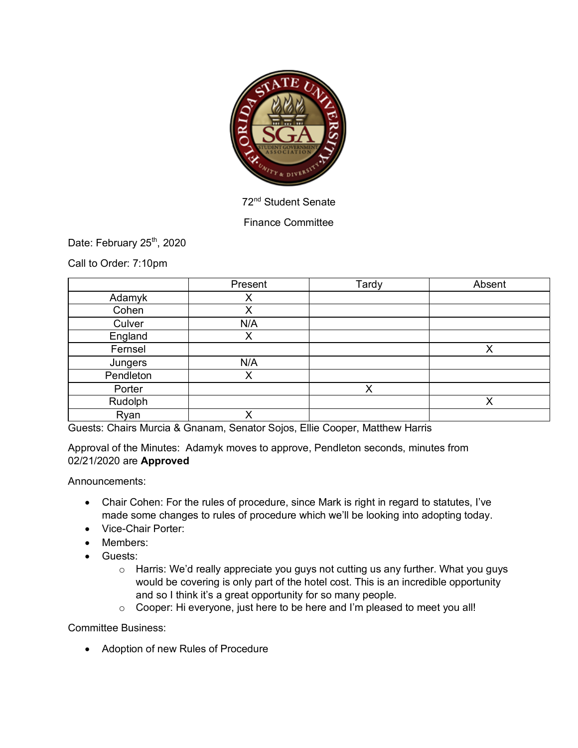

## 72<sup>nd</sup> Student Senate

## Finance Committee

Date: February 25<sup>th</sup>, 2020

Call to Order: 7:10pm

|           | Present | Tardy | Absent |
|-----------|---------|-------|--------|
| Adamyk    | ∧       |       |        |
| Cohen     | Χ       |       |        |
| Culver    | N/A     |       |        |
| England   | Χ       |       |        |
| Fernsel   |         |       | Х      |
| Jungers   | N/A     |       |        |
| Pendleton | Χ       |       |        |
| Porter    |         | X     |        |
| Rudolph   |         |       | Х      |
| Ryan      | Χ       |       |        |

Guests: Chairs Murcia & Gnanam, Senator Sojos, Ellie Cooper, Matthew Harris

Approval of the Minutes: Adamyk moves to approve, Pendleton seconds, minutes from 02/21/2020 are **Approved**

Announcements:

- Chair Cohen: For the rules of procedure, since Mark is right in regard to statutes, I've made some changes to rules of procedure which we'll be looking into adopting today.
- Vice-Chair Porter:
- Members:
- Guests:
	- o Harris: We'd really appreciate you guys not cutting us any further. What you guys would be covering is only part of the hotel cost. This is an incredible opportunity and so I think it's a great opportunity for so many people.
	- o Cooper: Hi everyone, just here to be here and I'm pleased to meet you all!

Committee Business:

• Adoption of new Rules of Procedure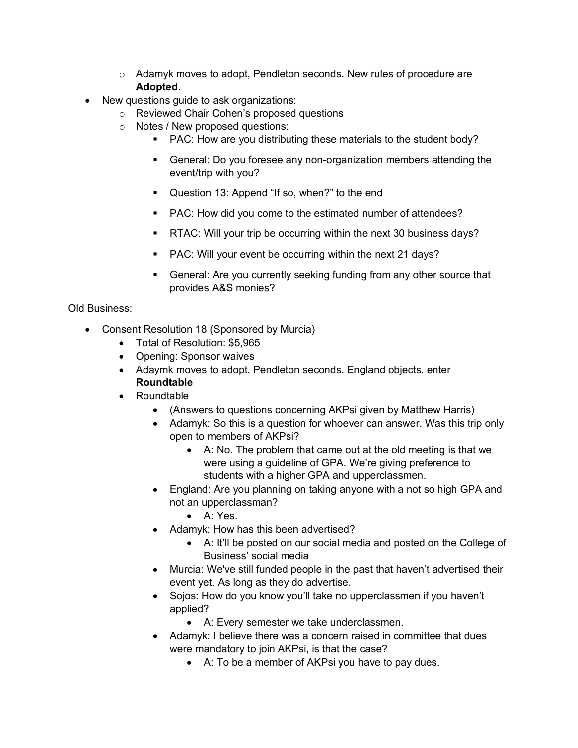- $\circ$  Adamyk moves to adopt, Pendleton seconds. New rules of procedure are **Adopted**.
- New questions guide to ask organizations:
	- o Reviewed Chair Cohen's proposed questions
	- o Notes / New proposed questions:
		- § PAC: How are you distributing these materials to the student body?
		- § General: Do you foresee any non-organization members attending the event/trip with you?
		- Question 13: Append "If so, when?" to the end
		- PAC: How did you come to the estimated number of attendees?
		- **RTAC: Will your trip be occurring within the next 30 business days?**
		- PAC: Will your event be occurring within the next 21 days?
		- General: Are you currently seeking funding from any other source that provides A&S monies?

## Old Business:

- Consent Resolution 18 (Sponsored by Murcia)
	- Total of Resolution: \$5,965
	- Opening: Sponsor waives
	- Adaymk moves to adopt, Pendleton seconds, England objects, enter **Roundtable**
	- Roundtable
		- (Answers to questions concerning AKPsi given by Matthew Harris)
		- Adamyk: So this is a question for whoever can answer. Was this trip only open to members of AKPsi?
			- A: No. The problem that came out at the old meeting is that we were using a guideline of GPA. We're giving preference to students with a higher GPA and upperclassmen.
		- England: Are you planning on taking anyone with a not so high GPA and not an upperclassman?
			- A: Yes.
		- Adamyk: How has this been advertised?
			- A: It'll be posted on our social media and posted on the College of Business' social media
		- Murcia: We've still funded people in the past that haven't advertised their event yet. As long as they do advertise.
		- Sojos: How do you know you'll take no upperclassmen if you haven't applied?
			- A: Every semester we take underclassmen.
		- Adamyk: I believe there was a concern raised in committee that dues were mandatory to join AKPsi, is that the case?
			- A: To be a member of AKPsi you have to pay dues.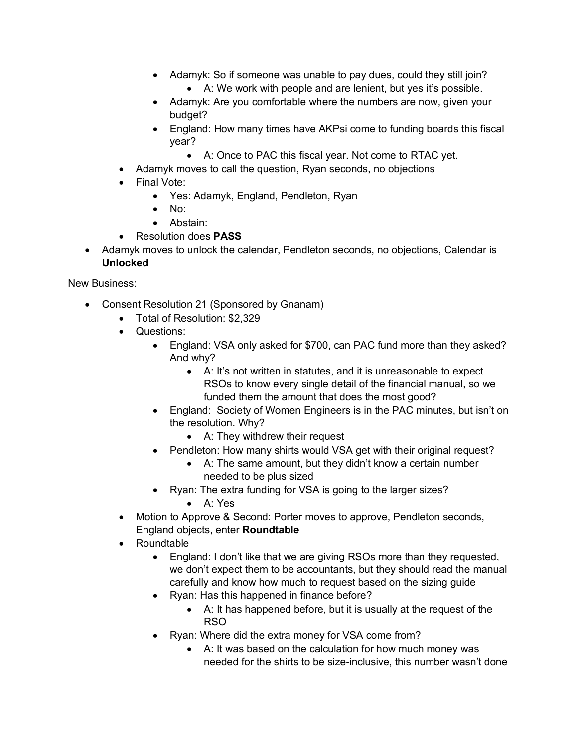- Adamyk: So if someone was unable to pay dues, could they still join?
	- A: We work with people and are lenient, but yes it's possible.
- Adamyk: Are you comfortable where the numbers are now, given your budget?
- England: How many times have AKPsi come to funding boards this fiscal year?
	- A: Once to PAC this fiscal year. Not come to RTAC yet.
- Adamyk moves to call the question, Ryan seconds, no objections
- Final Vote:
	- Yes: Adamyk, England, Pendleton, Ryan
	- No:
	- Abstain:
- Resolution does **PASS**
- Adamyk moves to unlock the calendar, Pendleton seconds, no objections, Calendar is **Unlocked**

New Business:

- Consent Resolution 21 (Sponsored by Gnanam)
	- Total of Resolution: \$2,329
	- Questions:
		- England: VSA only asked for \$700, can PAC fund more than they asked? And why?
			- A: It's not written in statutes, and it is unreasonable to expect RSOs to know every single detail of the financial manual, so we funded them the amount that does the most good?
		- England: Society of Women Engineers is in the PAC minutes, but isn't on the resolution. Why?
			- A: They withdrew their request
		- Pendleton: How many shirts would VSA get with their original request?
			- A: The same amount, but they didn't know a certain number needed to be plus sized
		- Ryan: The extra funding for VSA is going to the larger sizes?
			- A: Yes
	- Motion to Approve & Second: Porter moves to approve, Pendleton seconds, England objects, enter **Roundtable**
	- Roundtable
		- England: I don't like that we are giving RSOs more than they requested, we don't expect them to be accountants, but they should read the manual carefully and know how much to request based on the sizing guide
		- Ryan: Has this happened in finance before?
			- A: It has happened before, but it is usually at the request of the RSO
		- Ryan: Where did the extra money for VSA come from?
			- A: It was based on the calculation for how much money was needed for the shirts to be size-inclusive, this number wasn't done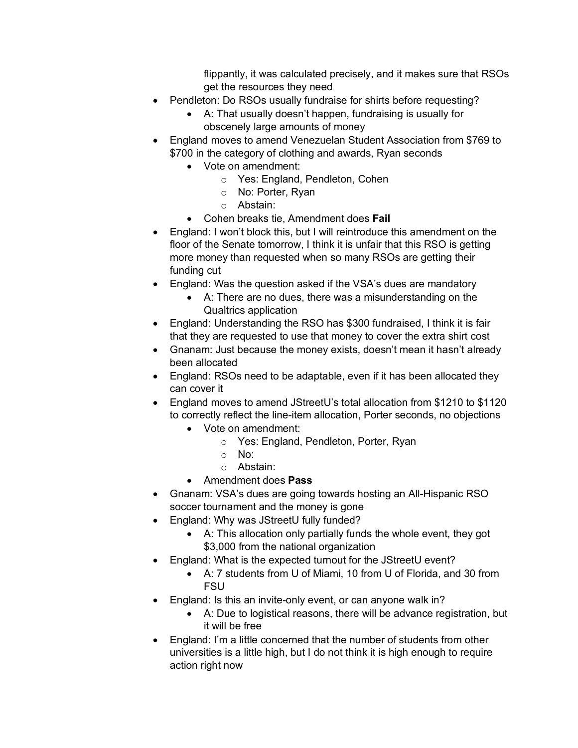flippantly, it was calculated precisely, and it makes sure that RSOs get the resources they need

- Pendleton: Do RSOs usually fundraise for shirts before requesting?
	- A: That usually doesn't happen, fundraising is usually for obscenely large amounts of money
- England moves to amend Venezuelan Student Association from \$769 to \$700 in the category of clothing and awards, Ryan seconds
	- Vote on amendment:
		- o Yes: England, Pendleton, Cohen
		- o No: Porter, Ryan
		- o Abstain:
	- Cohen breaks tie, Amendment does **Fail**
- England: I won't block this, but I will reintroduce this amendment on the floor of the Senate tomorrow, I think it is unfair that this RSO is getting more money than requested when so many RSOs are getting their funding cut
- England: Was the question asked if the VSA's dues are mandatory
	- A: There are no dues, there was a misunderstanding on the Qualtrics application
- England: Understanding the RSO has \$300 fundraised, I think it is fair that they are requested to use that money to cover the extra shirt cost
- Gnanam: Just because the money exists, doesn't mean it hasn't already been allocated
- England: RSOs need to be adaptable, even if it has been allocated they can cover it
- England moves to amend JStreetU's total allocation from \$1210 to \$1120 to correctly reflect the line-item allocation, Porter seconds, no objections
	- Vote on amendment:
		- o Yes: England, Pendleton, Porter, Ryan
		- o No:
		- o Abstain:
	- Amendment does **Pass**
- Gnanam: VSA's dues are going towards hosting an All-Hispanic RSO soccer tournament and the money is gone
- England: Why was JStreetU fully funded?
	- A: This allocation only partially funds the whole event, they got \$3,000 from the national organization
- England: What is the expected turnout for the JStreetU event?
	- A: 7 students from U of Miami, 10 from U of Florida, and 30 from FSU
- England: Is this an invite-only event, or can anyone walk in?
	- A: Due to logistical reasons, there will be advance registration, but it will be free
- England: I'm a little concerned that the number of students from other universities is a little high, but I do not think it is high enough to require action right now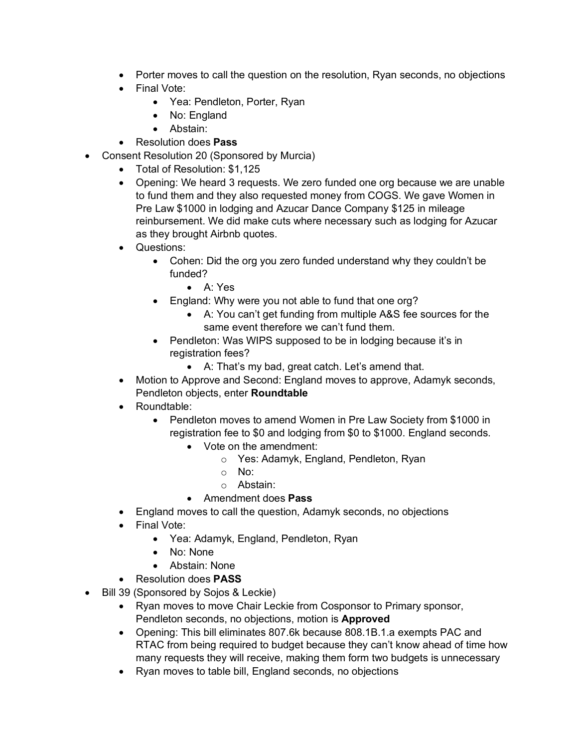- Porter moves to call the question on the resolution, Ryan seconds, no objections
- Final Vote:
	- Yea: Pendleton, Porter, Ryan
	- No: England
	- Abstain:
- Resolution does **Pass**
- Consent Resolution 20 (Sponsored by Murcia)
	- Total of Resolution: \$1,125
	- Opening: We heard 3 requests. We zero funded one org because we are unable to fund them and they also requested money from COGS. We gave Women in Pre Law \$1000 in lodging and Azucar Dance Company \$125 in mileage reinbursement. We did make cuts where necessary such as lodging for Azucar as they brought Airbnb quotes.
	- Questions:
		- Cohen: Did the org you zero funded understand why they couldn't be funded?
			- A: Yes
		- England: Why were you not able to fund that one org?
			- A: You can't get funding from multiple A&S fee sources for the same event therefore we can't fund them.
		- Pendleton: Was WIPS supposed to be in lodging because it's in registration fees?
			- A: That's my bad, great catch. Let's amend that.
	- Motion to Approve and Second: England moves to approve, Adamyk seconds, Pendleton objects, enter **Roundtable**
	- Roundtable:
		- Pendleton moves to amend Women in Pre Law Society from \$1000 in registration fee to \$0 and lodging from \$0 to \$1000. England seconds.
			- Vote on the amendment:
				- o Yes: Adamyk, England, Pendleton, Ryan
				- o No:
				- o Abstain:
			- Amendment does **Pass**
	- England moves to call the question, Adamyk seconds, no objections
	- Final Vote:
		- Yea: Adamyk, England, Pendleton, Ryan
		- No: None
		- Abstain: None
	- Resolution does **PASS**
- Bill 39 (Sponsored by Sojos & Leckie)
	- Ryan moves to move Chair Leckie from Cosponsor to Primary sponsor, Pendleton seconds, no objections, motion is **Approved**
	- Opening: This bill eliminates 807.6k because 808.1B.1.a exempts PAC and RTAC from being required to budget because they can't know ahead of time how many requests they will receive, making them form two budgets is unnecessary
	- Ryan moves to table bill, England seconds, no objections